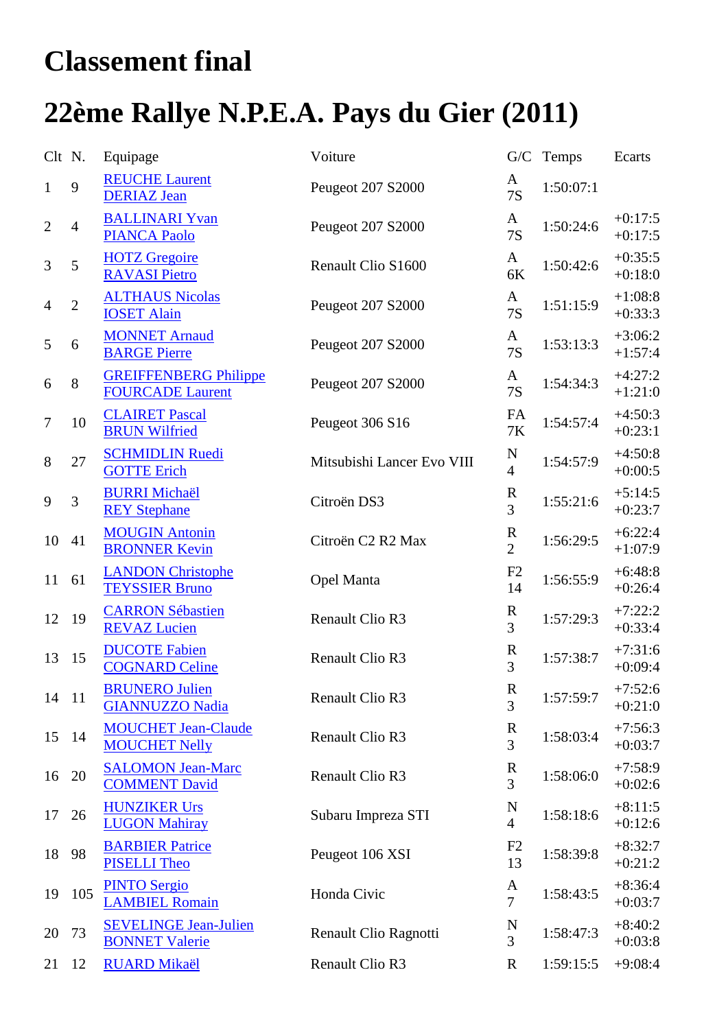## **Classement final**

## **22ème Rallye N.P.E.A. Pays du Gier (2011)**

| Clt N.           |                | Equipage                                                | Voiture                    |                               | G/C Temps | Ecarts                 |
|------------------|----------------|---------------------------------------------------------|----------------------------|-------------------------------|-----------|------------------------|
| $\mathbf{1}$     | 9              | <b>REUCHE Laurent</b><br><b>DERIAZ Jean</b>             | Peugeot 207 S2000          | A<br><b>7S</b>                | 1:50:07:1 |                        |
| $\mathbf{2}$     | $\overline{4}$ | <b>BALLINARI Yvan</b><br><b>PIANCA Paolo</b>            | Peugeot 207 S2000          | A<br>7S                       | 1:50:24:6 | $+0:17:5$<br>$+0:17:5$ |
| 3                | 5              | <b>HOTZ</b> Gregoire<br><b>RAVASI Pietro</b>            | Renault Clio S1600         | A<br>$6K$                     | 1:50:42:6 | $+0:35:5$<br>$+0:18:0$ |
| $\overline{4}$   | $\overline{2}$ | <b>ALTHAUS Nicolas</b><br><b>IOSET Alain</b>            | Peugeot 207 S2000          | $\mathbf{A}$<br><b>7S</b>     | 1:51:15:9 | $+1:08:8$<br>$+0:33:3$ |
| 5                | 6              | <b>MONNET Arnaud</b><br><b>BARGE Pierre</b>             | Peugeot 207 S2000          | A<br>7S                       | 1:53:13:3 | $+3:06:2$<br>$+1:57:4$ |
| 6                | 8              | <b>GREIFFENBERG Philippe</b><br><b>FOURCADE Laurent</b> | Peugeot 207 S2000          | A<br><b>7S</b>                | 1:54:34:3 | $+4:27:2$<br>$+1:21:0$ |
| $\boldsymbol{7}$ | 10             | <b>CLAIRET Pascal</b><br><b>BRUN Wilfried</b>           | Peugeot 306 S16            | FA<br>$7\mathrm{K}$           | 1:54:57:4 | $+4:50:3$<br>$+0:23:1$ |
| $8\,$            | 27             | <b>SCHMIDLIN Ruedi</b><br><b>GOTTE Erich</b>            | Mitsubishi Lancer Evo VIII | N<br>$\overline{4}$           | 1:54:57:9 | $+4:50:8$<br>$+0:00:5$ |
| 9                | 3              | <b>BURRI Michaël</b><br><b>REY Stephane</b>             | Citroën DS3                | $\mathbf R$<br>3              | 1:55:21:6 | $+5:14:5$<br>$+0:23:7$ |
| 10               | 41             | <b>MOUGIN Antonin</b><br><b>BRONNER Kevin</b>           | Citroën C2 R2 Max          | $\mathbf R$<br>$\overline{2}$ | 1:56:29:5 | $+6:22:4$<br>$+1:07:9$ |
| 11               | 61             | <b>LANDON Christophe</b><br><b>TEYSSIER Bruno</b>       | Opel Manta                 | F2<br>14                      | 1:56:55:9 | $+6:48:8$<br>$+0:26:4$ |
| 12               | 19             | <b>CARRON Sébastien</b><br><b>REVAZ Lucien</b>          | Renault Clio R3            | $\bf R$<br>$\overline{3}$     | 1:57:29:3 | $+7:22:2$<br>$+0:33:4$ |
| 13               | 15             | <b>DUCOTE Fabien</b><br><b>COGNARD Celine</b>           | Renault Clio R3            | $\mathbf R$<br>$\overline{3}$ | 1:57:38:7 | $+7:31:6$<br>$+0:09:4$ |
| 14 11            |                | <b>BRUNERO Julien</b><br><b>GIANNUZZO Nadia</b>         | Renault Clio R3            | R<br>3                        | 1:57:59:7 | $+7:52:6$<br>$+0:21:0$ |
| 15               | 14             | <b>MOUCHET Jean-Claude</b><br><b>MOUCHET Nelly</b>      | Renault Clio R3            | $\mathbf R$<br>3              | 1:58:03:4 | $+7:56:3$<br>$+0:03:7$ |
| 16               | 20             | <b>SALOMON Jean-Marc</b><br><b>COMMENT David</b>        | Renault Clio R3            | $\mathbf R$<br>$\overline{3}$ | 1:58:06:0 | $+7:58:9$<br>$+0:02:6$ |
| 17               | 26             | <b>HUNZIKER Urs</b><br><b>LUGON Mahiray</b>             | Subaru Impreza STI         | N<br>$\overline{4}$           | 1:58:18:6 | $+8:11:5$<br>$+0:12:6$ |
| 18               | 98             | <b>BARBIER Patrice</b><br><b>PISELLI Theo</b>           | Peugeot 106 XSI            | F2<br>13                      | 1:58:39:8 | $+8:32:7$<br>$+0:21:2$ |
| 19               | 105            | <b>PINTO Sergio</b><br><b>LAMBIEL Romain</b>            | Honda Civic                | A<br>$\overline{7}$           | 1:58:43:5 | $+8:36:4$<br>$+0:03:7$ |
| 20               | 73             | <b>SEVELINGE Jean-Julien</b><br><b>BONNET Valerie</b>   | Renault Clio Ragnotti      | N<br>3                        | 1:58:47:3 | $+8:40:2$<br>$+0:03:8$ |
| 21               | 12             | <b>RUARD Mikaël</b>                                     | Renault Clio R3            | $\mathbf R$                   | 1:59:15:5 | $+9:08:4$              |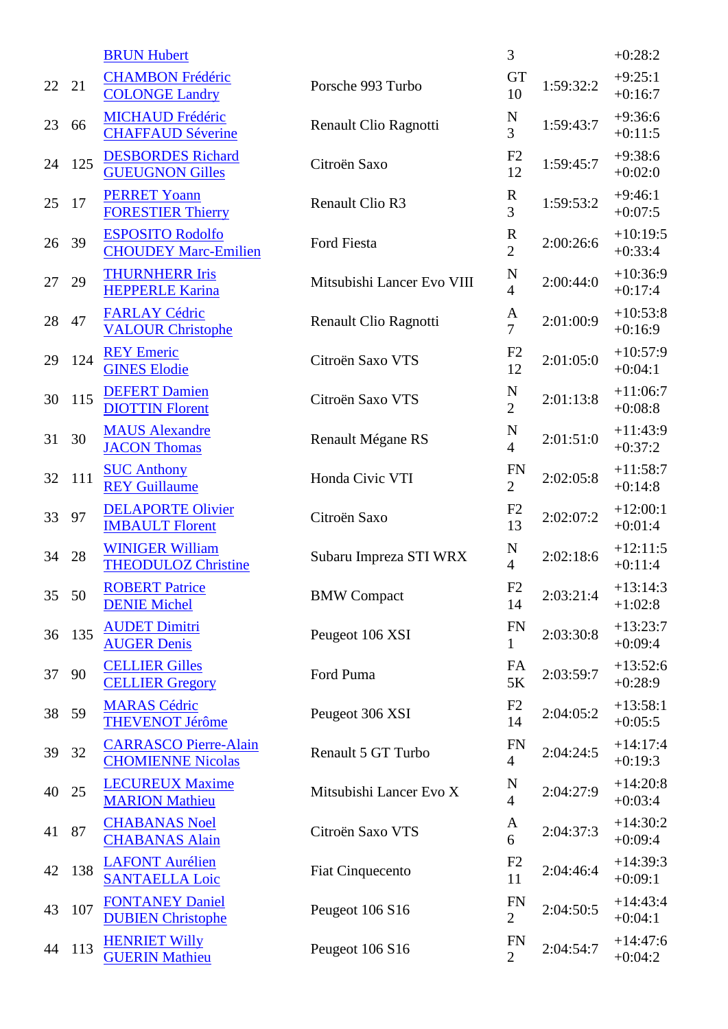|    |     | <b>BRUN Hubert</b>                                       |                            | 3                             |           | $+0:28:2$               |
|----|-----|----------------------------------------------------------|----------------------------|-------------------------------|-----------|-------------------------|
| 22 | 21  | <b>CHAMBON Frédéric</b><br><b>COLONGE Landry</b>         | Porsche 993 Turbo          | <b>GT</b><br>10               | 1:59:32:2 | $+9:25:1$<br>$+0:16:7$  |
| 23 | 66  | <b>MICHAUD Frédéric</b><br><b>CHAFFAUD Séverine</b>      | Renault Clio Ragnotti      | $\mathbf N$<br>$\overline{3}$ | 1:59:43:7 | $+9:36:6$<br>$+0:11:5$  |
| 24 | 125 | <b>DESBORDES</b> Richard<br><b>GUEUGNON Gilles</b>       | Citroën Saxo               | F2<br>12                      | 1:59:45:7 | $+9:38:6$<br>$+0:02:0$  |
| 25 | 17  | <b>PERRET Yoann</b><br><b>FORESTIER Thierry</b>          | Renault Clio R3            | $\mathbf R$<br>3              | 1:59:53:2 | $+9:46:1$<br>$+0:07:5$  |
| 26 | 39  | <b>ESPOSITO Rodolfo</b><br><b>CHOUDEY Marc-Emilien</b>   | Ford Fiesta                | $\mathbf R$<br>$\overline{2}$ | 2:00:26:6 | $+10:19:5$<br>$+0:33:4$ |
| 27 | 29  | <b>THURNHERR Iris</b><br><b>HEPPERLE Karina</b>          | Mitsubishi Lancer Evo VIII | N<br>$\overline{4}$           | 2:00:44:0 | $+10:36:9$<br>$+0:17:4$ |
| 28 | 47  | <b>FARLAY Cédric</b><br><b>VALOUR Christophe</b>         | Renault Clio Ragnotti      | A<br>$\overline{7}$           | 2:01:00:9 | $+10:53:8$<br>$+0:16:9$ |
| 29 | 124 | <b>REY Emeric</b><br><b>GINES Elodie</b>                 | Citroën Saxo VTS           | F <sub>2</sub><br>12          | 2:01:05:0 | $+10:57:9$<br>$+0:04:1$ |
| 30 | 115 | <b>DEFERT Damien</b><br><b>DIOTTIN Florent</b>           | Citroën Saxo VTS           | N<br>$\overline{2}$           | 2:01:13:8 | $+11:06:7$<br>$+0:08:8$ |
| 31 | 30  | <b>MAUS Alexandre</b><br><b>JACON Thomas</b>             | Renault Mégane RS          | N<br>$\overline{4}$           | 2:01:51:0 | $+11:43:9$<br>$+0:37:2$ |
| 32 | 111 | <b>SUC Anthony</b><br><b>REY Guillaume</b>               | Honda Civic VTI            | <b>FN</b><br>$\overline{2}$   | 2:02:05:8 | $+11:58:7$<br>$+0:14:8$ |
| 33 | 97  | <b>DELAPORTE Olivier</b><br><b>IMBAULT Florent</b>       | Citroën Saxo               | F2<br>13                      | 2:02:07:2 | $+12:00:1$<br>$+0:01:4$ |
| 34 | 28  | <b>WINIGER William</b><br><b>THEODULOZ Christine</b>     | Subaru Impreza STI WRX     | N<br>$\overline{4}$           | 2:02:18:6 | $+12:11:5$<br>$+0:11:4$ |
| 35 | 50  | <b>ROBERT Patrice</b><br><b>DENIE Michel</b>             | <b>BMW</b> Compact         | F2<br>14                      | 2:03:21:4 | $+13:14:3$<br>$+1:02:8$ |
| 36 | 135 | <b>AUDET Dimitri</b><br><b>AUGER Denis</b>               | Peugeot 106 XSI            | <b>FN</b><br>$\mathbf{1}$     | 2:03:30:8 | $+13:23:7$<br>$+0.09:4$ |
| 37 | 90  | <b>CELLIER Gilles</b><br><b>CELLIER Gregory</b>          | Ford Puma                  | FA<br>5K                      | 2:03:59:7 | $+13:52:6$<br>$+0.28:9$ |
| 38 | 59  | <b>MARAS Cédric</b><br><b>THEVENOT Jérôme</b>            | Peugeot 306 XSI            | F2<br>14                      | 2:04:05:2 | $+13:58:1$<br>$+0:05:5$ |
| 39 | 32  | <b>CARRASCO Pierre-Alain</b><br><b>CHOMIENNE Nicolas</b> | Renault 5 GT Turbo         | <b>FN</b><br>$\overline{4}$   | 2:04:24:5 | $+14:17:4$<br>$+0:19:3$ |
| 40 | 25  | <b>LECUREUX Maxime</b><br><b>MARION Mathieu</b>          | Mitsubishi Lancer Evo X    | N<br>$\overline{4}$           | 2:04:27:9 | $+14:20:8$<br>$+0:03:4$ |
| 41 | 87  | <b>CHABANAS Noel</b><br><b>CHABANAS Alain</b>            | Citroën Saxo VTS           | A<br>6                        | 2:04:37:3 | $+14:30:2$<br>$+0:09:4$ |
| 42 | 138 | <b>LAFONT Aurélien</b><br><b>SANTAELLA Loic</b>          | <b>Fiat Cinquecento</b>    | F <sub>2</sub><br>11          | 2:04:46:4 | $+14:39:3$<br>$+0:09:1$ |
| 43 | 107 | <b>FONTANEY Daniel</b><br><b>DUBIEN Christophe</b>       | Peugeot 106 S16            | <b>FN</b><br>$\overline{2}$   | 2:04:50:5 | $+14:43:4$<br>$+0:04:1$ |
| 44 | 113 | <b>HENRIET Willy</b><br><b>GUERIN Mathieu</b>            | Peugeot 106 S16            | <b>FN</b><br>$\overline{2}$   | 2:04:54:7 | $+14:47:6$<br>$+0:04:2$ |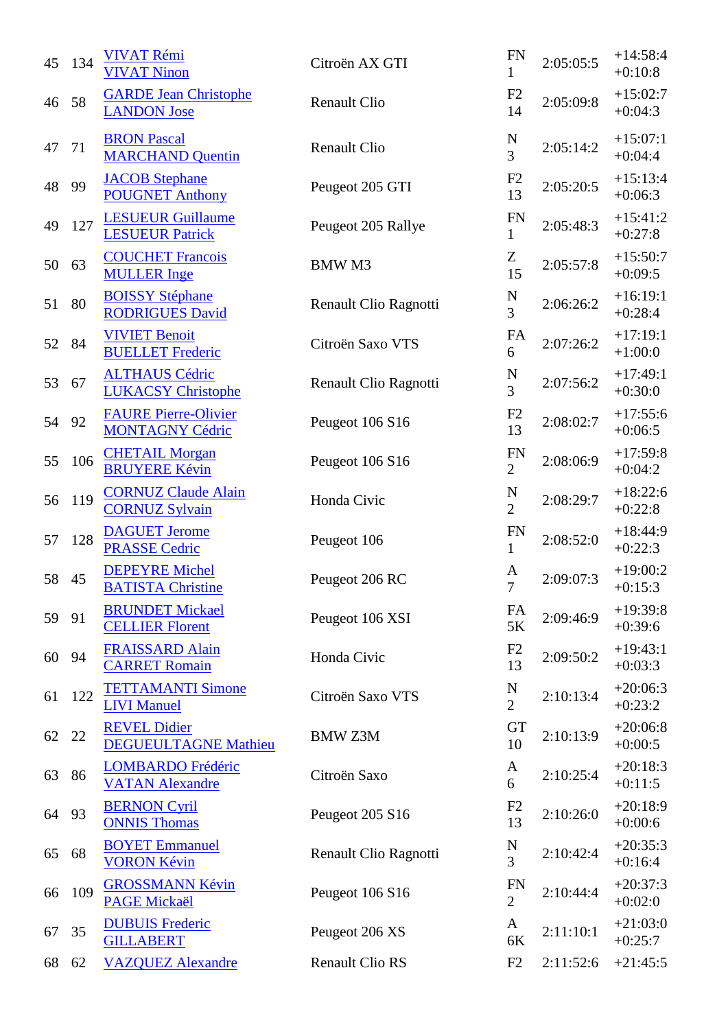| 45 | 134 | <b>VIVAT Rémi</b><br><b>VIVAT Ninon</b>               | Citroën AX GTI         | <b>FN</b><br>1                | 2:05:05:5 | $+14:58:4$<br>$+0:10:8$ |
|----|-----|-------------------------------------------------------|------------------------|-------------------------------|-----------|-------------------------|
| 46 | 58  | <b>GARDE Jean Christophe</b><br><b>LANDON</b> Jose    | <b>Renault Clio</b>    | F2<br>14                      | 2:05:09:8 | $+15:02:7$<br>$+0:04:3$ |
| 47 | 71  | <b>BRON Pascal</b><br><b>MARCHAND Quentin</b>         | <b>Renault Clio</b>    | N<br>3                        | 2:05:14:2 | $+15:07:1$<br>$+0:04:4$ |
| 48 | 99  | <b>JACOB</b> Stephane<br><b>POUGNET Anthony</b>       | Peugeot 205 GTI        | F2<br>13                      | 2:05:20:5 | $+15:13:4$<br>$+0:06:3$ |
| 49 | 127 | <b>LESUEUR Guillaume</b><br><b>LESUEUR Patrick</b>    | Peugeot 205 Rallye     | <b>FN</b><br>$\mathbf{1}$     | 2:05:48:3 | $+15:41:2$<br>$+0:27:8$ |
| 50 | 63  | <b>COUCHET Francois</b><br><b>MULLER</b> Inge         | <b>BMWM3</b>           | Z<br>15                       | 2:05:57:8 | $+15:50:7$<br>$+0:09:5$ |
| 51 | 80  | <b>BOISSY Stéphane</b><br><b>RODRIGUES David</b>      | Renault Clio Ragnotti  | $\frac{N}{3}$                 | 2:06:26:2 | $+16:19:1$<br>$+0:28:4$ |
| 52 | 84  | <b>VIVIET Benoit</b><br><b>BUELLET</b> Frederic       | Citroën Saxo VTS       | FA<br>6                       | 2:07:26:2 | $+17:19:1$<br>$+1:00:0$ |
| 53 | 67  | <b>ALTHAUS Cédric</b><br><b>LUKACSY Christophe</b>    | Renault Clio Ragnotti  | N<br>3                        | 2:07:56:2 | $+17:49:1$<br>$+0:30:0$ |
| 54 | 92  | <b>FAURE Pierre-Olivier</b><br><b>MONTAGNY Cédric</b> | Peugeot 106 S16        | F2<br>13                      | 2:08:02:7 | $+17:55:6$<br>$+0:06:5$ |
| 55 | 106 | <b>CHETAIL Morgan</b><br><b>BRUYERE Kévin</b>         | Peugeot 106 S16        | <b>FN</b><br>$\overline{2}$   | 2:08:06:9 | $+17:59:8$<br>$+0:04:2$ |
| 56 | 119 | <b>CORNUZ Claude Alain</b><br><b>CORNUZ Sylvain</b>   | Honda Civic            | $\mathbf N$<br>$\overline{2}$ | 2:08:29:7 | $+18:22:6$<br>$+0:22:8$ |
| 57 | 128 | <b>DAGUET Jerome</b><br><b>PRASSE Cedric</b>          | Peugeot 106            | <b>FN</b><br>1                | 2:08:52:0 | $+18:44:9$<br>$+0:22:3$ |
| 58 | 45  | <b>DEPEYRE Michel</b><br><b>BATISTA Christine</b>     | Peugeot 206 RC         | A<br>$\overline{7}$           | 2:09:07:3 | $+19:00:2$<br>$+0:15:3$ |
| 59 | 91  | <b>BRUNDET Mickael</b><br><b>CELLIER Florent</b>      | Peugeot 106 XSI        | FA<br>5K                      | 2:09:46:9 | $+19:39:8$<br>$+0:39:6$ |
| 60 | 94  | <b>FRAISSARD Alain</b><br><b>CARRET Romain</b>        | Honda Civic            | F2<br>13                      | 2:09:50:2 | $+19:43:1$<br>$+0:03:3$ |
| 61 | 122 | <b>TETTAMANTI Simone</b><br><b>LIVI Manuel</b>        | Citroën Saxo VTS       | $\mathbf N$<br>$\overline{2}$ | 2:10:13:4 | $+20:06:3$<br>$+0:23:2$ |
| 62 | 22  | <b>REVEL Didier</b><br><b>DEGUEULTAGNE Mathieu</b>    | <b>BMW Z3M</b>         | <b>GT</b><br>10               | 2:10:13:9 | $+20:06:8$<br>$+0:00:5$ |
| 63 | 86  | <b>LOMBARDO Frédéric</b><br><b>VATAN Alexandre</b>    | Citroën Saxo           | A<br>6                        | 2:10:25:4 | $+20:18:3$<br>$+0:11:5$ |
| 64 | 93  | <b>BERNON Cyril</b><br><b>ONNIS Thomas</b>            | Peugeot 205 S16        | F2<br>13                      | 2:10:26:0 | $+20:18:9$<br>$+0:00:6$ |
| 65 | 68  | <b>BOYET Emmanuel</b><br><b>VORON Kévin</b>           | Renault Clio Ragnotti  | $\frac{N}{3}$                 | 2:10:42:4 | $+20:35:3$<br>$+0:16:4$ |
| 66 | 109 | <b>GROSSMANN Kévin</b><br><b>PAGE Mickaël</b>         | Peugeot 106 S16        | <b>FN</b><br>$\overline{2}$   | 2:10:44:4 | $+20:37:3$<br>$+0:02:0$ |
| 67 | 35  | <b>DUBUIS Frederic</b><br><b>GILLABERT</b>            | Peugeot 206 XS         | A<br>6K                       | 2:11:10:1 | $+21:03:0$<br>$+0:25:7$ |
| 68 | 62  | <b>VAZQUEZ Alexandre</b>                              | <b>Renault Clio RS</b> | F2                            | 2:11:52:6 | $+21:45:5$              |